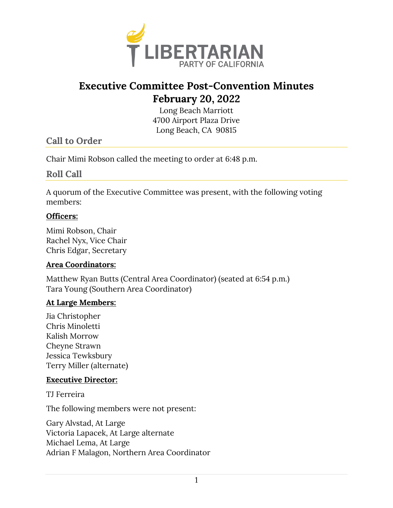

# **Executive Committee Post-Convention Minutes February 20, 2022**

Long Beach Marriott 4700 Airport Plaza Drive Long Beach, CA 90815

# **Call to Order**

Chair Mimi Robson called the meeting to order at 6:48 p.m.

### **Roll Call**

A quorum of the Executive Committee was present, with the following voting members:

#### **Officers:**

Mimi Robson, Chair Rachel Nyx, Vice Chair Chris Edgar, Secretary

#### **Area Coordinators:**

Matthew Ryan Butts (Central Area Coordinator) (seated at 6:54 p.m.) Tara Young (Southern Area Coordinator)

#### **At Large Members:**

Jia Christopher Chris Minoletti Kalish Morrow Cheyne Strawn Jessica Tewksbury Terry Miller (alternate)

#### **Executive Director:**

TJ Ferreira

The following members were not present:

Gary Alvstad, At Large Victoria Lapacek, At Large alternate Michael Lema, At Large Adrian F Malagon, Northern Area Coordinator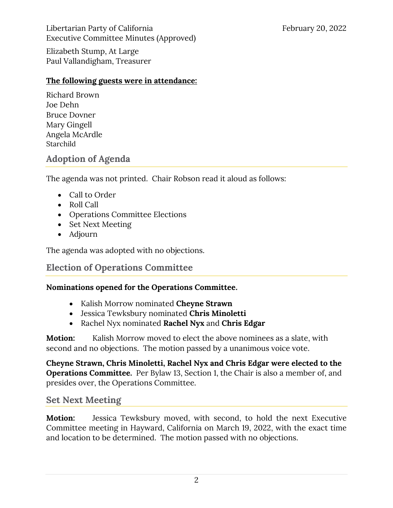Libertarian Party of California February 20, 2022 Executive Committee Minutes (Approved)

Elizabeth Stump, At Large Paul Vallandigham, Treasurer

#### **The following guests were in attendance:**

Richard Brown Joe Dehn Bruce Dovner Mary Gingell Angela McArdle Starchild

# **Adoption of Agenda**

The agenda was not printed. Chair Robson read it aloud as follows:

- Call to Order
- Roll Call
- Operations Committee Elections
- Set Next Meeting
- Adjourn

The agenda was adopted with no objections.

# **Election of Operations Committee**

### **Nominations opened for the Operations Committee.**

- Kalish Morrow nominated **Cheyne Strawn**
- Jessica Tewksbury nominated **Chris Minoletti**
- Rachel Nyx nominated **Rachel Nyx** and **Chris Edgar**

**Motion:** Kalish Morrow moved to elect the above nominees as a slate, with second and no objections. The motion passed by a unanimous voice vote.

**Cheyne Strawn, Chris Minoletti, Rachel Nyx and Chris Edgar were elected to the Operations Committee.** Per Bylaw 13, Section 1, the Chair is also a member of, and presides over, the Operations Committee.

# **Set Next Meeting**

**Motion:** Jessica Tewksbury moved, with second, to hold the next Executive Committee meeting in Hayward, California on March 19, 2022, with the exact time and location to be determined. The motion passed with no objections.